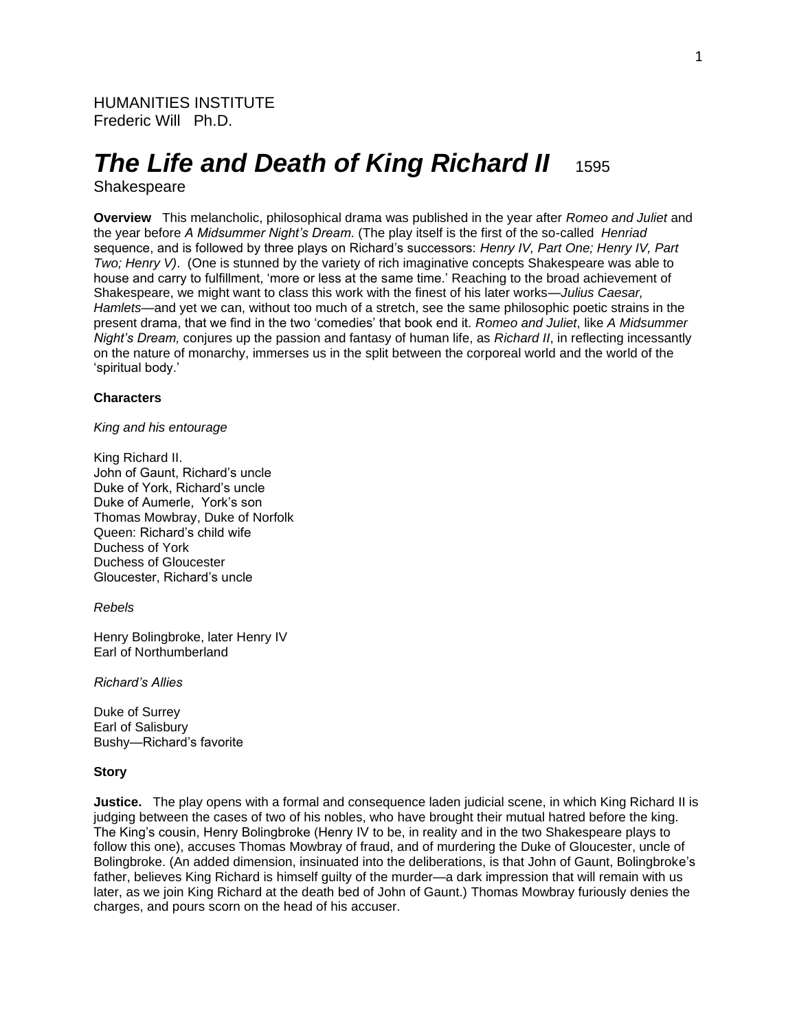# *The Life and Death of King Richard II* 1595

# Shakespeare

**Overview** This melancholic, philosophical drama was published in the year after *Romeo and Juliet* and the year before *A Midsummer Night's Dream.* (The play itself is the first of the so-called *Henriad* sequence, and is followed by three plays on Richard's successors: *Henry IV, Part One; Henry IV, Part Two; Henry V)*. (One is stunned by the variety of rich imaginative concepts Shakespeare was able to house and carry to fulfillment, 'more or less at the same time.' Reaching to the broad achievement of Shakespeare, we might want to class this work with the finest of his later works—*Julius Caesar, Hamlets*—and yet we can, without too much of a stretch, see the same philosophic poetic strains in the present drama, that we find in the two 'comedies' that book end it. *Romeo and Juliet*, like *A Midsummer Night's Dream,* conjures up the passion and fantasy of human life, as *Richard II*, in reflecting incessantly on the nature of monarchy, immerses us in the split between the corporeal world and the world of the 'spiritual body.'

# **Characters**

# *King and his entourage*

King Richard II. John of Gaunt, Richard's uncle Duke of York, Richard's uncle Duke of Aumerle, York's son Thomas Mowbray, Duke of Norfolk Queen: Richard's child wife Duchess of York Duchess of Gloucester Gloucester, Richard's uncle

#### *Rebels*

Henry Bolingbroke, later Henry IV Earl of Northumberland

*Richard's Allies*

Duke of Surrey Earl of Salisbury Bushy—Richard's favorite

#### **Story**

**Justice.** The play opens with a formal and consequence laden judicial scene, in which King Richard II is judging between the cases of two of his nobles, who have brought their mutual hatred before the king. The King's cousin, Henry Bolingbroke (Henry IV to be, in reality and in the two Shakespeare plays to follow this one), accuses Thomas Mowbray of fraud, and of murdering the Duke of Gloucester, uncle of Bolingbroke. (An added dimension, insinuated into the deliberations, is that John of Gaunt, Bolingbroke's father, believes King Richard is himself guilty of the murder—a dark impression that will remain with us later, as we join King Richard at the death bed of John of Gaunt.) Thomas Mowbray furiously denies the charges, and pours scorn on the head of his accuser.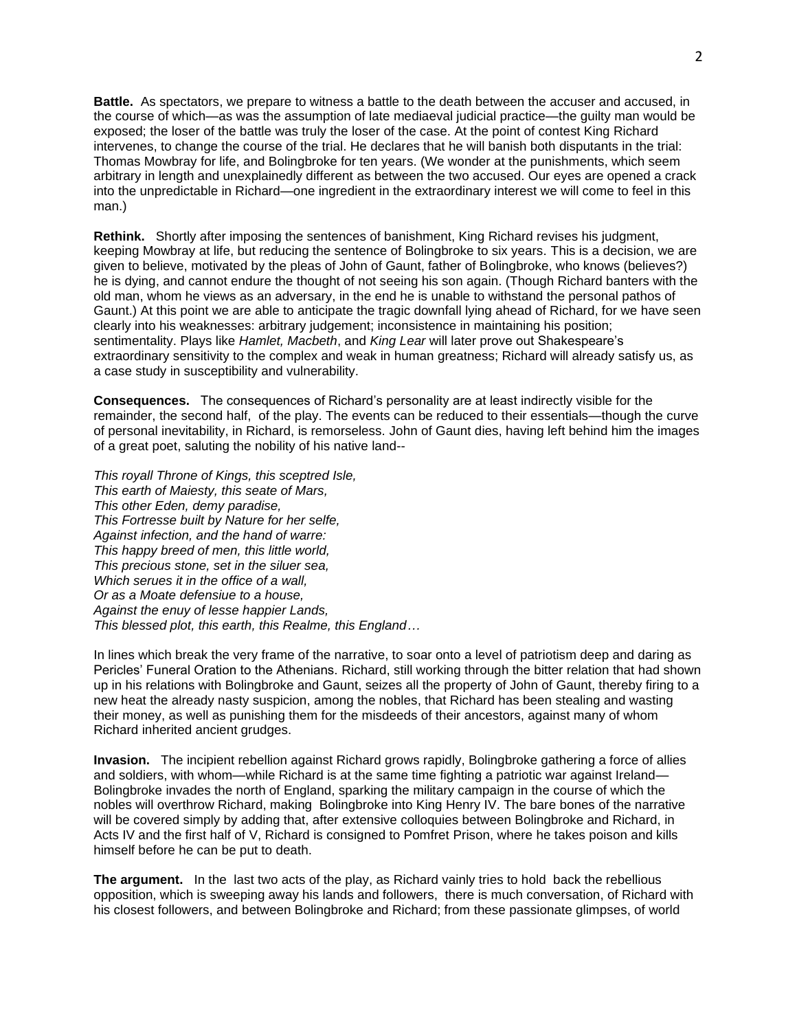**Battle.** As spectators, we prepare to witness a battle to the death between the accuser and accused, in the course of which—as was the assumption of late mediaeval judicial practice—the guilty man would be exposed; the loser of the battle was truly the loser of the case. At the point of contest King Richard intervenes, to change the course of the trial. He declares that he will banish both disputants in the trial: Thomas Mowbray for life, and Bolingbroke for ten years. (We wonder at the punishments, which seem arbitrary in length and unexplainedly different as between the two accused. Our eyes are opened a crack into the unpredictable in Richard—one ingredient in the extraordinary interest we will come to feel in this man.)

**Rethink.** Shortly after imposing the sentences of banishment, King Richard revises his judgment, keeping Mowbray at life, but reducing the sentence of Bolingbroke to six years. This is a decision, we are given to believe, motivated by the pleas of John of Gaunt, father of Bolingbroke, who knows (believes?) he is dying, and cannot endure the thought of not seeing his son again. (Though Richard banters with the old man, whom he views as an adversary, in the end he is unable to withstand the personal pathos of Gaunt.) At this point we are able to anticipate the tragic downfall lying ahead of Richard, for we have seen clearly into his weaknesses: arbitrary judgement; inconsistence in maintaining his position; sentimentality. Plays like *Hamlet, Macbeth*, and *King Lear* will later prove out Shakespeare's extraordinary sensitivity to the complex and weak in human greatness; Richard will already satisfy us, as a case study in susceptibility and vulnerability.

**Consequences.** The consequences of Richard's personality are at least indirectly visible for the remainder, the second half, of the play. The events can be reduced to their essentials—though the curve of personal inevitability, in Richard, is remorseless. John of Gaunt dies, having left behind him the images of a great poet, saluting the nobility of his native land--

*This royall Throne of Kings, this sceptred Isle, This earth of Maiesty, this seate of Mars, This other Eden, demy paradise, This Fortresse built by Nature for her selfe, Against infection, and the hand of warre: This happy breed of men, this little world, This precious stone, set in the siluer sea, Which serues it in the office of a wall, Or as a Moate defensiue to a house, Against the enuy of lesse happier Lands, This blessed plot, this earth, this Realme, this England…*

In lines which break the very frame of the narrative, to soar onto a level of patriotism deep and daring as Pericles' Funeral Oration to the Athenians. Richard, still working through the bitter relation that had shown up in his relations with Bolingbroke and Gaunt, seizes all the property of John of Gaunt, thereby firing to a new heat the already nasty suspicion, among the nobles, that Richard has been stealing and wasting their money, as well as punishing them for the misdeeds of their ancestors, against many of whom Richard inherited ancient grudges.

**Invasion.** The incipient rebellion against Richard grows rapidly, Bolingbroke gathering a force of allies and soldiers, with whom—while Richard is at the same time fighting a patriotic war against Ireland— Bolingbroke invades the north of England, sparking the military campaign in the course of which the nobles will overthrow Richard, making Bolingbroke into King Henry IV. The bare bones of the narrative will be covered simply by adding that, after extensive colloquies between Bolingbroke and Richard, in Acts IV and the first half of V, Richard is consigned to Pomfret Prison, where he takes poison and kills himself before he can be put to death.

**The argument.** In the last two acts of the play, as Richard vainly tries to hold back the rebellious opposition, which is sweeping away his lands and followers, there is much conversation, of Richard with his closest followers, and between Bolingbroke and Richard; from these passionate glimpses, of world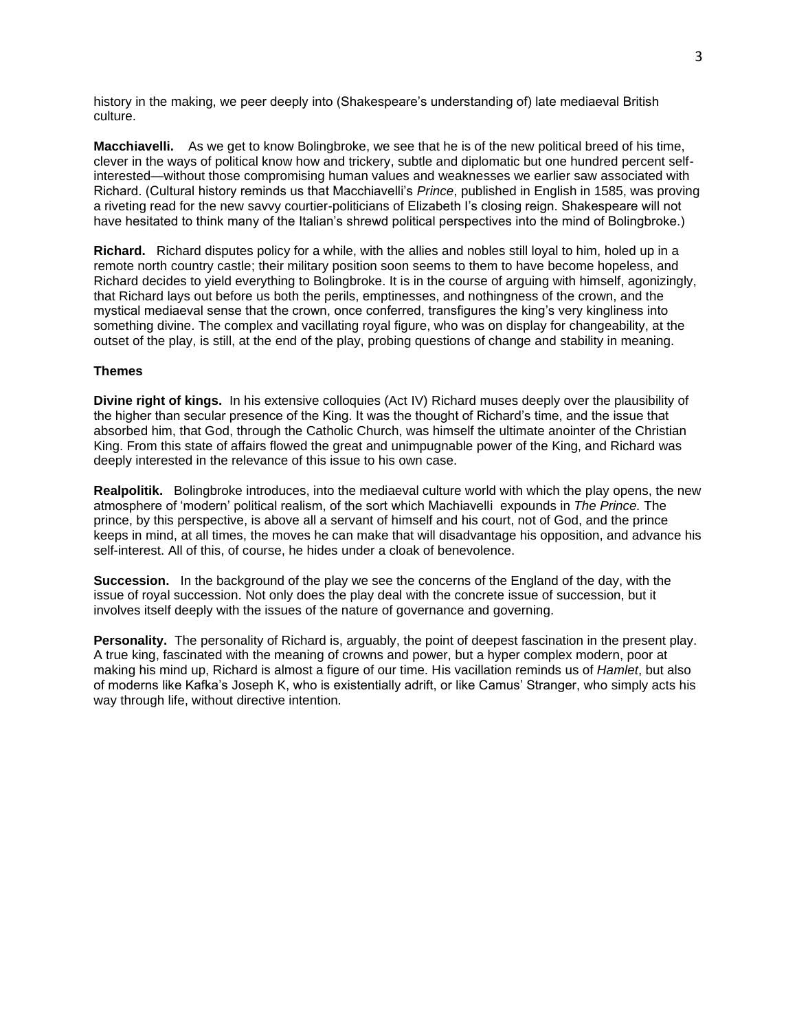history in the making, we peer deeply into (Shakespeare's understanding of) late mediaeval British culture.

**Macchiavelli.** As we get to know Bolingbroke, we see that he is of the new political breed of his time, clever in the ways of political know how and trickery, subtle and diplomatic but one hundred percent selfinterested—without those compromising human values and weaknesses we earlier saw associated with Richard. (Cultural history reminds us that Macchiavelli's *Prince*, published in English in 1585, was proving a riveting read for the new savvy courtier-politicians of Elizabeth I's closing reign. Shakespeare will not have hesitated to think many of the Italian's shrewd political perspectives into the mind of Bolingbroke.)

**Richard.** Richard disputes policy for a while, with the allies and nobles still loyal to him, holed up in a remote north country castle; their military position soon seems to them to have become hopeless, and Richard decides to yield everything to Bolingbroke. It is in the course of arguing with himself, agonizingly, that Richard lays out before us both the perils, emptinesses, and nothingness of the crown, and the mystical mediaeval sense that the crown, once conferred, transfigures the king's very kingliness into something divine. The complex and vacillating royal figure, who was on display for changeability, at the outset of the play, is still, at the end of the play, probing questions of change and stability in meaning.

# **Themes**

**Divine right of kings.** In his extensive colloquies (Act IV) Richard muses deeply over the plausibility of the higher than secular presence of the King. It was the thought of Richard's time, and the issue that absorbed him, that God, through the Catholic Church, was himself the ultimate anointer of the Christian King. From this state of affairs flowed the great and unimpugnable power of the King, and Richard was deeply interested in the relevance of this issue to his own case.

**Realpolitik.** Bolingbroke introduces, into the mediaeval culture world with which the play opens, the new atmosphere of 'modern' political realism, of the sort which Machiavelli expounds in *The Prince.* The prince, by this perspective, is above all a servant of himself and his court, not of God, and the prince keeps in mind, at all times, the moves he can make that will disadvantage his opposition, and advance his self-interest. All of this, of course, he hides under a cloak of benevolence.

**Succession.** In the background of the play we see the concerns of the England of the day, with the issue of royal succession. Not only does the play deal with the concrete issue of succession, but it involves itself deeply with the issues of the nature of governance and governing.

**Personality.** The personality of Richard is, arguably, the point of deepest fascination in the present play. A true king, fascinated with the meaning of crowns and power, but a hyper complex modern, poor at making his mind up, Richard is almost a figure of our time. His vacillation reminds us of *Hamlet*, but also of moderns like Kafka's Joseph K, who is existentially adrift, or like Camus' Stranger, who simply acts his way through life, without directive intention.